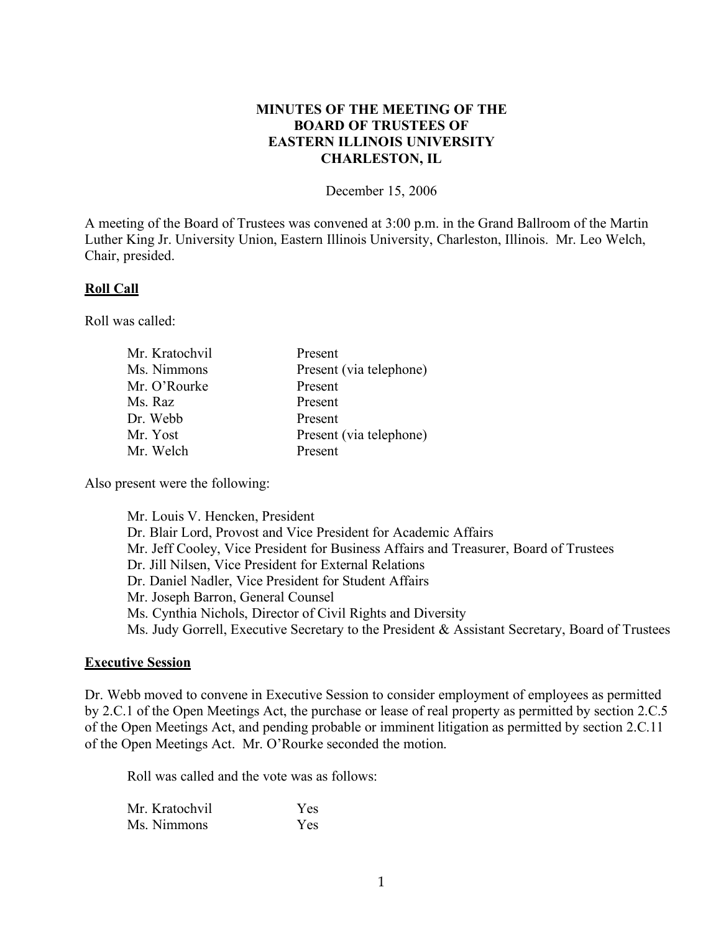## **MINUTES OF THE MEETING OF THE BOARD OF TRUSTEES OF EASTERN ILLINOIS UNIVERSITY CHARLESTON, IL**

December 15, 2006

A meeting of the Board of Trustees was convened at 3:00 p.m. in the Grand Ballroom of the Martin Luther King Jr. University Union, Eastern Illinois University, Charleston, Illinois. Mr. Leo Welch, Chair, presided.

#### **Roll Call**

Roll was called:

| Present                 |
|-------------------------|
| Present (via telephone) |
| Present                 |
| Present                 |
| Present                 |
| Present (via telephone) |
| Present                 |
|                         |

Also present were the following:

Mr. Louis V. Hencken, President Dr. Blair Lord, Provost and Vice President for Academic Affairs Mr. Jeff Cooley, Vice President for Business Affairs and Treasurer, Board of Trustees Dr. Jill Nilsen, Vice President for External Relations Dr. Daniel Nadler, Vice President for Student Affairs Mr. Joseph Barron, General Counsel Ms. Cynthia Nichols, Director of Civil Rights and Diversity Ms. Judy Gorrell, Executive Secretary to the President & Assistant Secretary, Board of Trustees

#### **Executive Session**

Dr. Webb moved to convene in Executive Session to consider employment of employees as permitted by 2.C.1 of the Open Meetings Act, the purchase or lease of real property as permitted by section 2.C.5 of the Open Meetings Act, and pending probable or imminent litigation as permitted by section 2.C.11 of the Open Meetings Act. Mr. O'Rourke seconded the motion.

Roll was called and the vote was as follows:

| Mr. Kratochvil | Yes |
|----------------|-----|
| Ms. Nimmons    | Yes |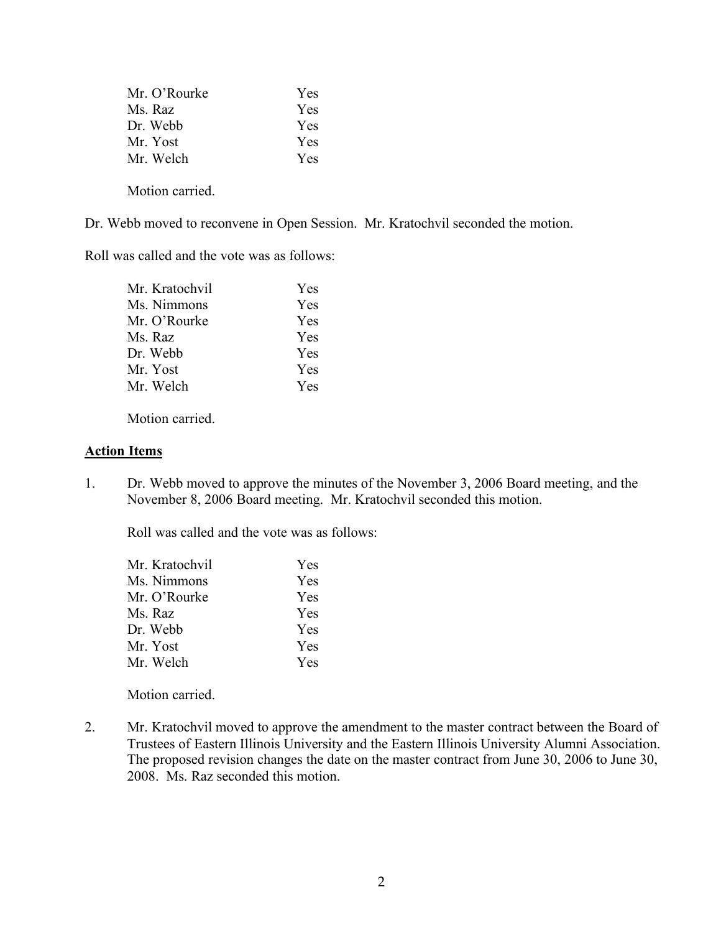| Mr. O'Rourke | <b>Yes</b> |
|--------------|------------|
| Ms. Raz      | Yes        |
| Dr. Webb     | Yes        |
| Mr. Yost     | Yes        |
| Mr. Welch    | Yes        |
|              |            |
|              |            |

Motion carried.

Dr. Webb moved to reconvene in Open Session. Mr. Kratochvil seconded the motion.

Roll was called and the vote was as follows:

| Mr. Kratochvil | Yes        |
|----------------|------------|
| Ms. Nimmons    | Yes        |
| Mr. O'Rourke   | <b>Yes</b> |
| Ms. Raz        | Yes        |
| Dr. Webb       | <b>Yes</b> |
| Mr. Yost       | Yes        |
| Mr. Welch      | <b>Yes</b> |
|                |            |

Motion carried.

#### **Action Items**

1. Dr. Webb moved to approve the minutes of the November 3, 2006 Board meeting, and the November 8, 2006 Board meeting. Mr. Kratochvil seconded this motion.

Roll was called and the vote was as follows:

| Mr. Kratochvil | Yes        |
|----------------|------------|
| Ms. Nimmons    | <b>Yes</b> |
| Mr. O'Rourke   | Yes        |
| Ms. Raz        | <b>Yes</b> |
| Dr. Webb       | <b>Yes</b> |
| Mr. Yost       | <b>Yes</b> |
| Mr. Welch      | Yes        |
|                |            |

Motion carried.

2. Mr. Kratochvil moved to approve the amendment to the master contract between the Board of Trustees of Eastern Illinois University and the Eastern Illinois University Alumni Association. The proposed revision changes the date on the master contract from June 30, 2006 to June 30, 2008. Ms. Raz seconded this motion.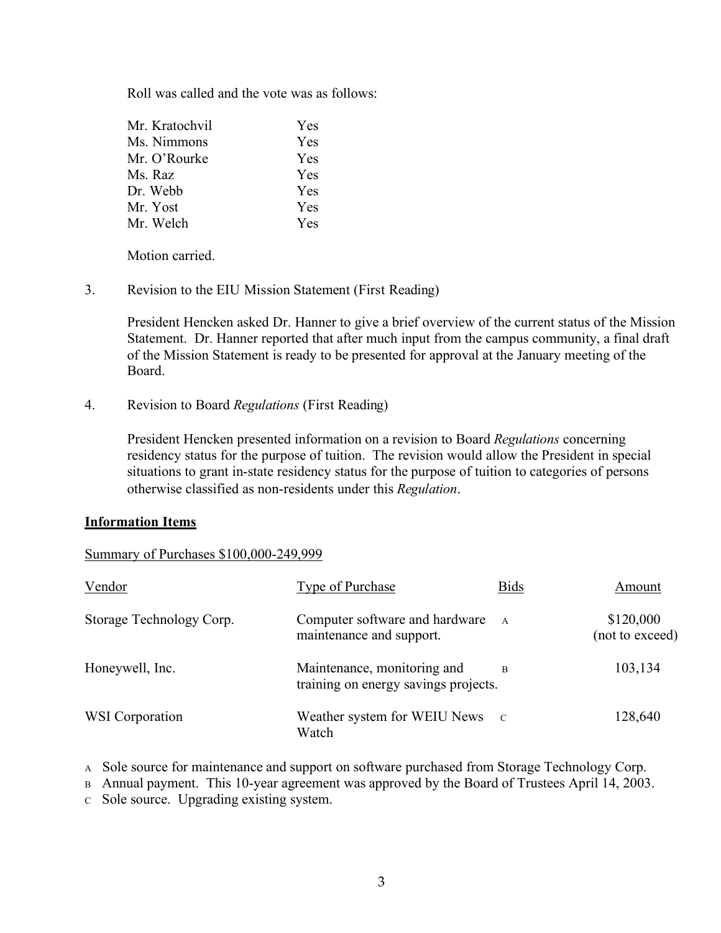Roll was called and the vote was as follows:

| Mr. Kratochvil | Yes        |
|----------------|------------|
| Ms. Nimmons    | <b>Yes</b> |
| Mr. O'Rourke   | <b>Yes</b> |
| Ms. Raz        | <b>Yes</b> |
| Dr. Webb       | <b>Yes</b> |
| Mr. Yost       | <b>Yes</b> |
| Mr. Welch      | <b>Yes</b> |
|                |            |

Motion carried.

3. Revision to the EIU Mission Statement (First Reading)

President Hencken asked Dr. Hanner to give a brief overview of the current status of the Mission Statement. Dr. Hanner reported that after much input from the campus community, a final draft of the Mission Statement is ready to be presented for approval at the January meeting of the Board.

4. Revision to Board *Regulations* (First Reading)

President Hencken presented information on a revision to Board *Regulations* concerning residency status for the purpose of tuition. The revision would allow the President in special situations to grant in-state residency status for the purpose of tuition to categories of persons otherwise classified as non-residents under this *Regulation*.

#### **Information Items**

#### Summary of Purchases \$100,000-249,999

| Vendor                   | Type of Purchase                                                    | <b>Bids</b>  | Amount                       |
|--------------------------|---------------------------------------------------------------------|--------------|------------------------------|
| Storage Technology Corp. | Computer software and hardware<br>maintenance and support.          | $\mathbf{A}$ | \$120,000<br>(not to exceed) |
| Honeywell, Inc.          | Maintenance, monitoring and<br>training on energy savings projects. | B            | 103,134                      |
| WSI Corporation          | Weather system for WEIU News c<br>Watch                             |              | 128,640                      |

<sup>A</sup> Sole source for maintenance and support on software purchased from Storage Technology Corp.

B Annual payment. This 10-year agreement was approved by the Board of Trustees April 14, 2003.

<sup>C</sup> Sole source. Upgrading existing system.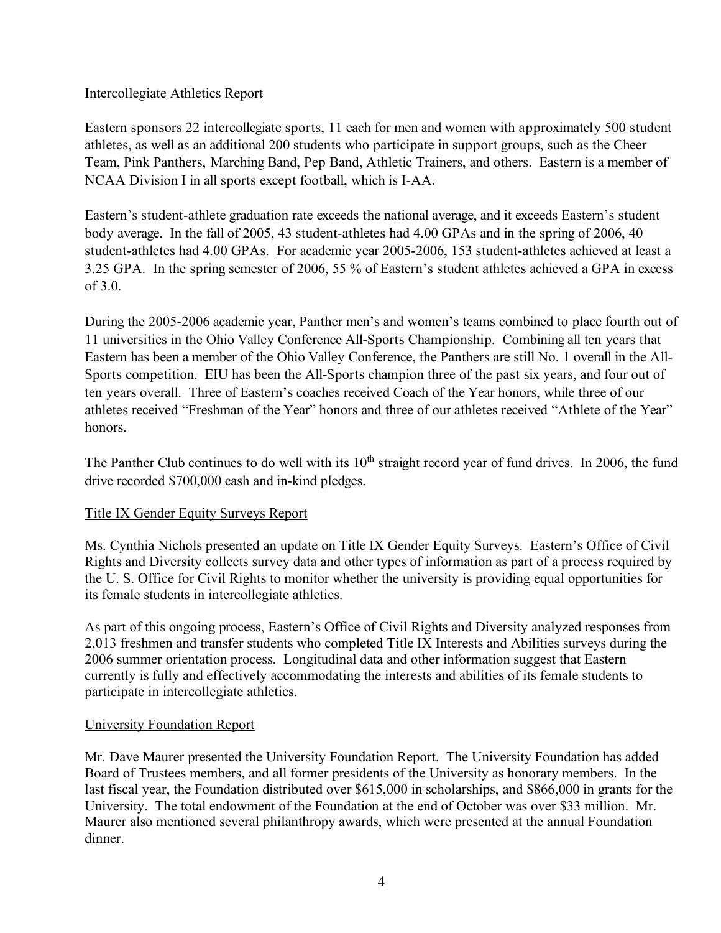## Intercollegiate Athletics Report

Eastern sponsors 22 intercollegiate sports, 11 each for men and women with approximately 500 student athletes, as well as an additional 200 students who participate in support groups, such as the Cheer Team, Pink Panthers, Marching Band, Pep Band, Athletic Trainers, and others. Eastern is a member of NCAA Division I in all sports except football, which is I-AA.

Eastern's student-athlete graduation rate exceeds the national average, and it exceeds Eastern's student body average. In the fall of 2005, 43 student-athletes had 4.00 GPAs and in the spring of 2006, 40 student-athletes had 4.00 GPAs. For academic year 2005-2006, 153 student-athletes achieved at least a 3.25 GPA. In the spring semester of 2006, 55 % of Eastern's student athletes achieved a GPA in excess of 3.0.

During the 2005-2006 academic year, Panther men's and women's teams combined to place fourth out of 11 universities in the Ohio Valley Conference All-Sports Championship. Combining all ten years that Eastern has been a member of the Ohio Valley Conference, the Panthers are still No. 1 overall in the All-Sports competition. EIU has been the All-Sports champion three of the past six years, and four out of ten years overall. Three of Eastern's coaches received Coach of the Year honors, while three of our athletes received "Freshman of the Year" honors and three of our athletes received "Athlete of the Year" honors.

The Panther Club continues to do well with its  $10<sup>th</sup>$  straight record year of fund drives. In 2006, the fund drive recorded \$700,000 cash and in-kind pledges.

## Title IX Gender Equity Surveys Report

Ms. Cynthia Nichols presented an update on Title IX Gender Equity Surveys. Eastern's Office of Civil Rights and Diversity collects survey data and other types of information as part of a process required by the U. S. Office for Civil Rights to monitor whether the university is providing equal opportunities for its female students in intercollegiate athletics.

As part of this ongoing process, Eastern's Office of Civil Rights and Diversity analyzed responses from 2,013 freshmen and transfer students who completed Title IX Interests and Abilities surveys during the 2006 summer orientation process. Longitudinal data and other information suggest that Eastern currently is fully and effectively accommodating the interests and abilities of its female students to participate in intercollegiate athletics.

#### University Foundation Report

Mr. Dave Maurer presented the University Foundation Report. The University Foundation has added Board of Trustees members, and all former presidents of the University as honorary members. In the last fiscal year, the Foundation distributed over \$615,000 in scholarships, and \$866,000 in grants for the University. The total endowment of the Foundation at the end of October was over \$33 million. Mr. Maurer also mentioned several philanthropy awards, which were presented at the annual Foundation dinner.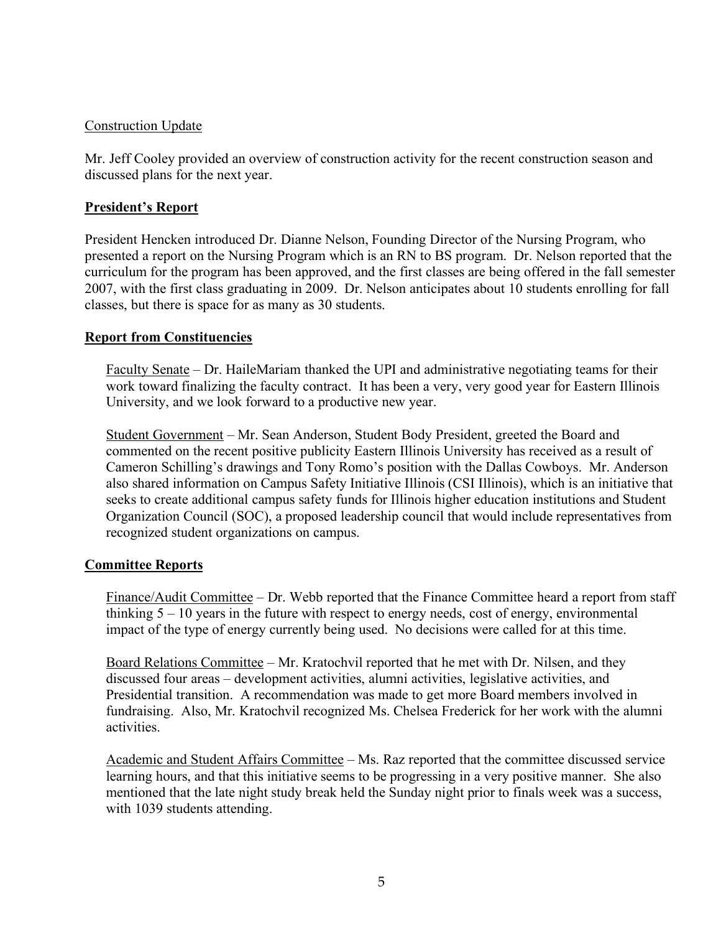## Construction Update

Mr. Jeff Cooley provided an overview of construction activity for the recent construction season and discussed plans for the next year.

## **President's Report**

President Hencken introduced Dr. Dianne Nelson, Founding Director of the Nursing Program, who presented a report on the Nursing Program which is an RN to BS program. Dr. Nelson reported that the curriculum for the program has been approved, and the first classes are being offered in the fall semester 2007, with the first class graduating in 2009. Dr. Nelson anticipates about 10 students enrolling for fall classes, but there is space for as many as 30 students.

#### **Report from Constituencies**

Faculty Senate – Dr. HaileMariam thanked the UPI and administrative negotiating teams for their work toward finalizing the faculty contract. It has been a very, very good year for Eastern Illinois University, and we look forward to a productive new year.

Student Government – Mr. Sean Anderson, Student Body President, greeted the Board and commented on the recent positive publicity Eastern Illinois University has received as a result of Cameron Schilling's drawings and Tony Romo's position with the Dallas Cowboys. Mr. Anderson also shared information on Campus Safety Initiative Illinois (CSI Illinois), which is an initiative that seeks to create additional campus safety funds for Illinois higher education institutions and Student Organization Council (SOC), a proposed leadership council that would include representatives from recognized student organizations on campus.

#### **Committee Reports**

Finance/Audit Committee – Dr. Webb reported that the Finance Committee heard a report from staff thinking  $5 - 10$  years in the future with respect to energy needs, cost of energy, environmental impact of the type of energy currently being used. No decisions were called for at this time.

Board Relations Committee – Mr. Kratochvil reported that he met with Dr. Nilsen, and they discussed four areas – development activities, alumni activities, legislative activities, and Presidential transition. A recommendation was made to get more Board members involved in fundraising. Also, Mr. Kratochvil recognized Ms. Chelsea Frederick for her work with the alumni activities.

Academic and Student Affairs Committee – Ms. Raz reported that the committee discussed service learning hours, and that this initiative seems to be progressing in a very positive manner. She also mentioned that the late night study break held the Sunday night prior to finals week was a success, with 1039 students attending.